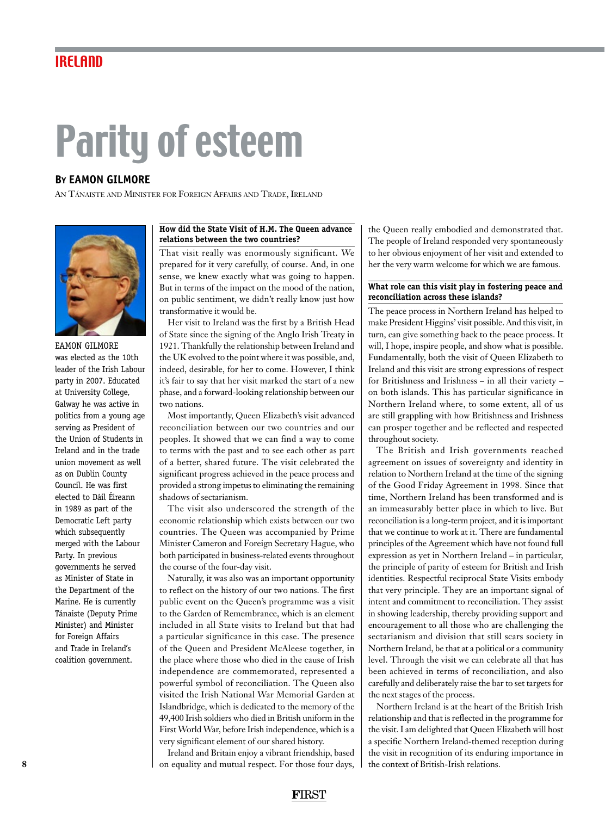# IRELAND

# Parity of esteem

# **By EAMON GILMORE**

An Tánaiste and Minister for Foreign Affairs and Trade, Ireland



EAMON GILMORE was elected as the 10th leader of the Irish Labour party in 2007. Educated at University College, Galway he was active in politics from a young age serving as President of the Union of Students in Ireland and in the trade union movement as well as on Dublin County Council. He was first elected to Dáil Éireann in 1989 as part of the Democratic Left party which subsequently merged with the Labour Party. In previous governments he served as Minister of State in the Department of the Marine. He is currently Tánaiste (Deputy Prime Minister) and Minister for Foreign Affairs and Trade in Ireland's coalition government.

## **How did the State Visit of H.M. The Queen advance relations between the two countries?**

That visit really was enormously significant. We prepared for it very carefully, of course. And, in one sense, we knew exactly what was going to happen. But in terms of the impact on the mood of the nation, on public sentiment, we didn't really know just how transformative it would be.

Her visit to Ireland was the first by a British Head of State since the signing of the Anglo Irish Treaty in 1921. Thankfully the relationship between Ireland and the UK evolved to the point where it was possible, and, indeed, desirable, for her to come. However, I think it's fair to say that her visit marked the start of a new phase, and a forward-looking relationship between our two nations.

Most importantly, Queen Elizabeth's visit advanced reconciliation between our two countries and our peoples. It showed that we can find a way to come to terms with the past and to see each other as part of a better, shared future. The visit celebrated the significant progress achieved in the peace process and provided a strong impetus to eliminating the remaining shadows of sectarianism.

The visit also underscored the strength of the economic relationship which exists between our two countries. The Queen was accompanied by Prime Minister Cameron and Foreign Secretary Hague, who both participated in business-related events throughout the course of the four-day visit.

Naturally, it was also was an important opportunity to reflect on the history of our two nations. The first public event on the Queen's programme was a visit to the Garden of Remembrance, which is an element included in all State visits to Ireland but that had a particular significance in this case. The presence of the Queen and President McAleese together, in the place where those who died in the cause of Irish independence are commemorated, represented a powerful symbol of reconciliation. The Queen also visited the Irish National War Memorial Garden at Islandbridge, which is dedicated to the memory of the 49,400 Irish soldiers who died in British uniform in the First World War, before Irish independence, which is a very significant element of our shared history.

Ireland and Britain enjoy a vibrant friendship, based on equality and mutual respect. For those four days,

the Queen really embodied and demonstrated that. The people of Ireland responded very spontaneously to her obvious enjoyment of her visit and extended to her the very warm welcome for which we are famous.

### **What role can this visit play in fostering peace and reconciliation across these islands?**

The peace process in Northern Ireland has helped to make President Higgins' visit possible. And this visit, in turn, can give something back to the peace process. It will, I hope, inspire people, and show what is possible. Fundamentally, both the visit of Queen Elizabeth to Ireland and this visit are strong expressions of respect for Britishness and Irishness – in all their variety – on both islands. This has particular significance in Northern Ireland where, to some extent, all of us are still grappling with how Britishness and Irishness can prosper together and be reflected and respected throughout society.

The British and Irish governments reached agreement on issues of sovereignty and identity in relation to Northern Ireland at the time of the signing of the Good Friday Agreement in 1998. Since that time, Northern Ireland has been transformed and is an immeasurably better place in which to live. But reconciliation is a long-term project, and it is important that we continue to work at it. There are fundamental principles of the Agreement which have not found full expression as yet in Northern Ireland – in particular, the principle of parity of esteem for British and Irish identities. Respectful reciprocal State Visits embody that very principle. They are an important signal of intent and commitment to reconciliation. They assist in showing leadership, thereby providing support and encouragement to all those who are challenging the sectarianism and division that still scars society in Northern Ireland, be that at a political or a community level. Through the visit we can celebrate all that has been achieved in terms of reconciliation, and also carefully and deliberately raise the bar to set targets for the next stages of the process.

Northern Ireland is at the heart of the British Irish relationship and that is reflected in the programme for the visit. I am delighted that Queen Elizabeth will host a specific Northern Ireland-themed reception during the visit in recognition of its enduring importance in the context of British-Irish relations.